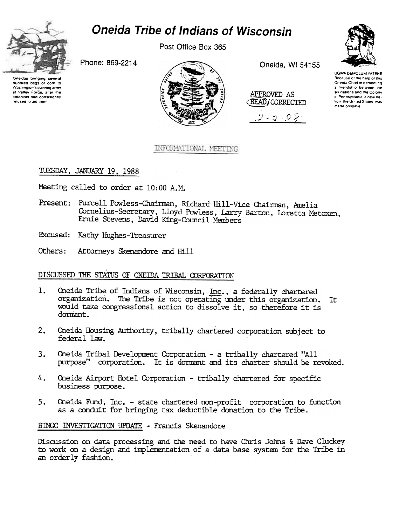

## **Oneida Tribe of Indians of Wisconsin**

Post Office Box 365

Phone: 869-2214

Oneidas bringing several hundred bags of corn to Washington's starving army at Valley Forge, after the colonists had consistently refused to aid them



Oneida, WI 54155

| APPROVED AS<br><b>READ/CORRECTED</b> |  |
|--------------------------------------|--|
|                                      |  |

 $2 - 2 - 98$ 



## INFORMATIONAL MEETING

TUESDAY, JANUARY 19, 1988

Meeting called to order at 10:00 A.M.

Present: Purcell Powless-Chairman, Richard Hill-Vice Chairman, Amelia Cornelius-Secretary, Lloyd Powless, Larry Barton, Loretta Metoxen, Ernie Stevens, David King-Council Members

Excused: Kathy Hughes-Treasurer

Others: Attorneys Skenandore and Hill

## DISCUSSED THE STATUS OF ONEIDA TRIBAL CORPORATION

- $1.$ Oneida Tribe of Indians of Wisconsin, Inc., a federally chartered organization. The Tribe is not operating under this organization. It would take congressional action to dissolve it, so therefore it is dormant.
- $2.$ Oneida Housing Authority, tribally chartered corporation subject to federal law.
- $3.$ Oneida Tribal Development Corporation - a tribally chartered "All purpose" corporation. It is dormant and its charter should be revoked.
- 4. Oneida Airport Hotel Corporation - tribally chartered for specific business purpose.
- 5. Oneida Fund, Inc. - state chartered non-profit corporation to function as a conduit for bringing tax deductible donation to the Tribe.

BINGO INVESTIGATION UPDATE - Francis Skenandore

Discussion on data processing and the need to have Chris Johns & Dave Cluckey to work on a design and implementation of a data base system for the Tribe in an orderly fashion.